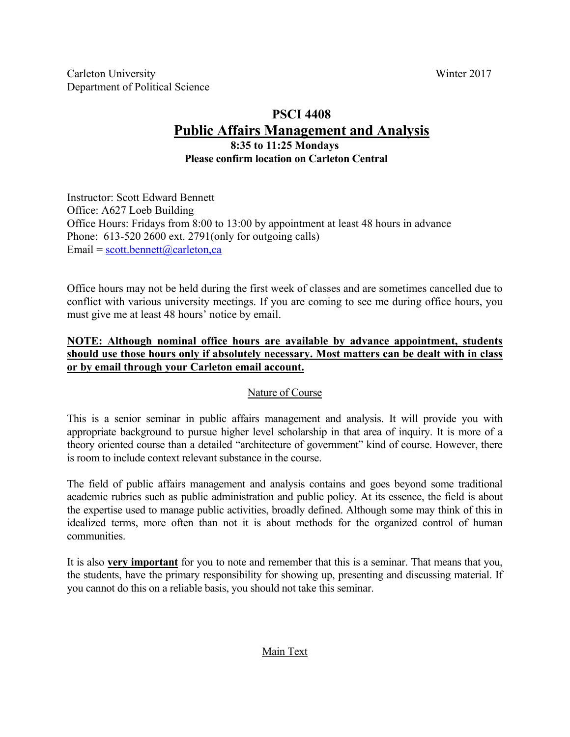# **PSCI 4408 Public Affairs Management and Analysis**

## **8:35 to 11:25 Mondays Please confirm location on Carleton Central**

Instructor: Scott Edward Bennett Office: A627 Loeb Building Office Hours: Fridays from 8:00 to 13:00 by appointment at least 48 hours in advance Phone: 613-520 2600 ext. 2791(only for outgoing calls) Email =  $scott.bennett@carleton,ca$ 

Office hours may not be held during the first week of classes and are sometimes cancelled due to conflict with various university meetings. If you are coming to see me during office hours, you must give me at least 48 hours' notice by email.

## **NOTE: Although nominal office hours are available by advance appointment, students should use those hours only if absolutely necessary. Most matters can be dealt with in class or by email through your Carleton email account.**

## Nature of Course

This is a senior seminar in public affairs management and analysis. It will provide you with appropriate background to pursue higher level scholarship in that area of inquiry. It is more of a theory oriented course than a detailed "architecture of government" kind of course. However, there is room to include context relevant substance in the course.

The field of public affairs management and analysis contains and goes beyond some traditional academic rubrics such as public administration and public policy. At its essence, the field is about the expertise used to manage public activities, broadly defined. Although some may think of this in idealized terms, more often than not it is about methods for the organized control of human communities.

It is also **very important** for you to note and remember that this is a seminar. That means that you, the students, have the primary responsibility for showing up, presenting and discussing material. If you cannot do this on a reliable basis, you should not take this seminar.

### Main Text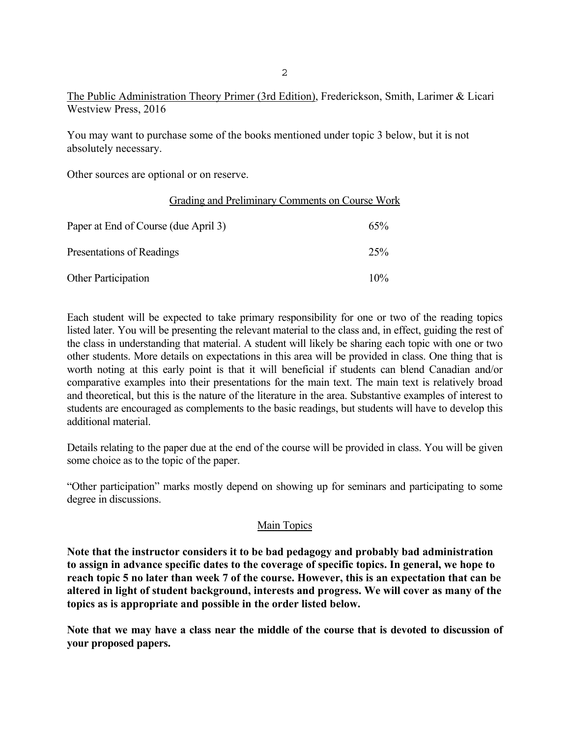The Public Administration Theory Primer (3rd Edition), Frederickson, Smith, Larimer & Licari Westview Press, 2016

You may want to purchase some of the books mentioned under topic 3 below, but it is not absolutely necessary.

Other sources are optional or on reserve.

| Grading and Preliminary Comments on Course Work |     |
|-------------------------------------------------|-----|
| Paper at End of Course (due April 3)            | 65% |
| Presentations of Readings                       | 25% |
| <b>Other Participation</b>                      | 10% |

Each student will be expected to take primary responsibility for one or two of the reading topics listed later. You will be presenting the relevant material to the class and, in effect, guiding the rest of the class in understanding that material. A student will likely be sharing each topic with one or two other students. More details on expectations in this area will be provided in class. One thing that is worth noting at this early point is that it will beneficial if students can blend Canadian and/or comparative examples into their presentations for the main text. The main text is relatively broad and theoretical, but this is the nature of the literature in the area. Substantive examples of interest to students are encouraged as complements to the basic readings, but students will have to develop this additional material.

Details relating to the paper due at the end of the course will be provided in class. You will be given some choice as to the topic of the paper.

"Other participation" marks mostly depend on showing up for seminars and participating to some degree in discussions.

### Main Topics

**Note that the instructor considers it to be bad pedagogy and probably bad administration to assign in advance specific dates to the coverage of specific topics. In general, we hope to reach topic 5 no later than week 7 of the course. However, this is an expectation that can be altered in light of student background, interests and progress. We will cover as many of the topics as is appropriate and possible in the order listed below.** 

**Note that we may have a class near the middle of the course that is devoted to discussion of your proposed papers.**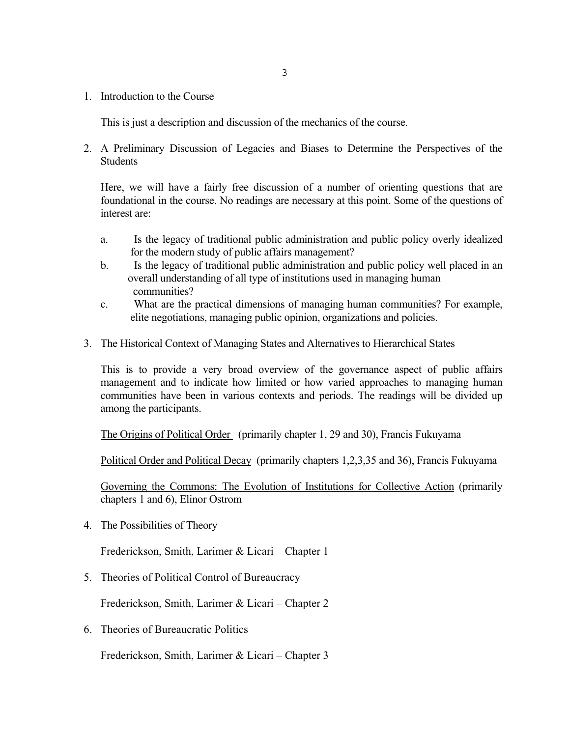1. Introduction to the Course

This is just a description and discussion of the mechanics of the course.

2. A Preliminary Discussion of Legacies and Biases to Determine the Perspectives of the Students

Here, we will have a fairly free discussion of a number of orienting questions that are foundational in the course. No readings are necessary at this point. Some of the questions of interest are:

- a. Is the legacy of traditional public administration and public policy overly idealized for the modern study of public affairs management?
- b. Is the legacy of traditional public administration and public policy well placed in an overall understanding of all type of institutions used in managing human communities?
- c. What are the practical dimensions of managing human communities? For example, elite negotiations, managing public opinion, organizations and policies.
- 3. The Historical Context of Managing States and Alternatives to Hierarchical States

This is to provide a very broad overview of the governance aspect of public affairs management and to indicate how limited or how varied approaches to managing human communities have been in various contexts and periods. The readings will be divided up among the participants.

The Origins of Political Order (primarily chapter 1, 29 and 30), Francis Fukuyama

Political Order and Political Decay (primarily chapters 1,2,3,35 and 36), Francis Fukuyama

Governing the Commons: The Evolution of Institutions for Collective Action (primarily chapters 1 and 6), Elinor Ostrom

4. The Possibilities of Theory

Frederickson, Smith, Larimer & Licari – Chapter 1

5. Theories of Political Control of Bureaucracy

Frederickson, Smith, Larimer & Licari – Chapter 2

6. Theories of Bureaucratic Politics

Frederickson, Smith, Larimer & Licari – Chapter 3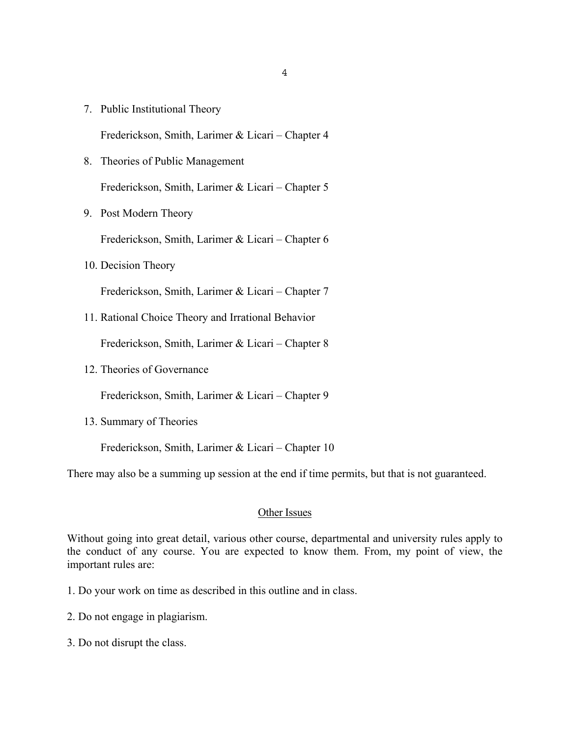7. Public Institutional Theory

Frederickson, Smith, Larimer & Licari – Chapter 4

- 8. Theories of Public Management Frederickson, Smith, Larimer & Licari – Chapter 5
- 9. Post Modern Theory

Frederickson, Smith, Larimer & Licari – Chapter 6

10. Decision Theory

Frederickson, Smith, Larimer & Licari – Chapter 7

11. Rational Choice Theory and Irrational Behavior

Frederickson, Smith, Larimer & Licari – Chapter 8

12. Theories of Governance

Frederickson, Smith, Larimer & Licari – Chapter 9

13. Summary of Theories

Frederickson, Smith, Larimer & Licari – Chapter 10

There may also be a summing up session at the end if time permits, but that is not guaranteed.

#### Other Issues

Without going into great detail, various other course, departmental and university rules apply to the conduct of any course. You are expected to know them. From, my point of view, the important rules are:

- 1. Do your work on time as described in this outline and in class.
- 2. Do not engage in plagiarism.
- 3. Do not disrupt the class.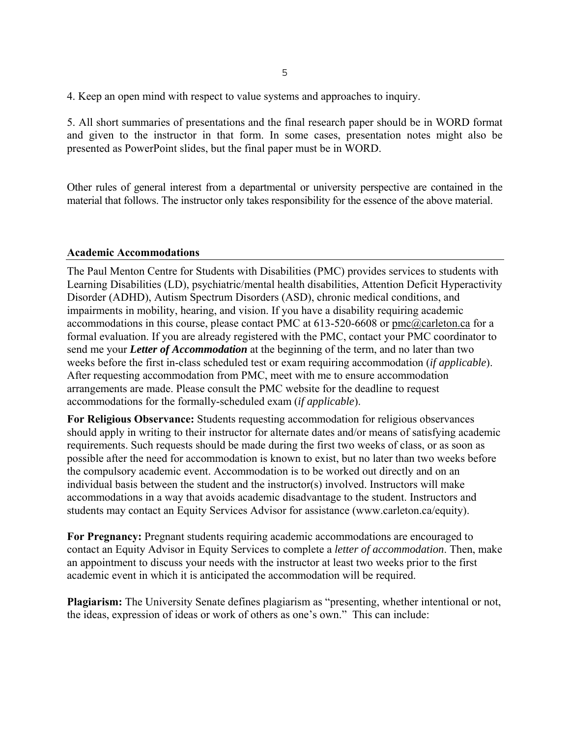4. Keep an open mind with respect to value systems and approaches to inquiry.

5. All short summaries of presentations and the final research paper should be in WORD format and given to the instructor in that form. In some cases, presentation notes might also be presented as PowerPoint slides, but the final paper must be in WORD.

Other rules of general interest from a departmental or university perspective are contained in the material that follows. The instructor only takes responsibility for the essence of the above material.

#### **Academic Accommodations**

The Paul Menton Centre for Students with Disabilities (PMC) provides services to students with Learning Disabilities (LD), psychiatric/mental health disabilities, Attention Deficit Hyperactivity Disorder (ADHD), Autism Spectrum Disorders (ASD), chronic medical conditions, and impairments in mobility, hearing, and vision. If you have a disability requiring academic accommodations in this course, please contact PMC at 613-520-6608 or pmc@carleton.ca for a formal evaluation. If you are already registered with the PMC, contact your PMC coordinator to send me your *Letter of Accommodation* at the beginning of the term, and no later than two weeks before the first in-class scheduled test or exam requiring accommodation (*if applicable*). After requesting accommodation from PMC, meet with me to ensure accommodation arrangements are made. Please consult the PMC website for the deadline to request accommodations for the formally-scheduled exam (*if applicable*).

**For Religious Observance:** Students requesting accommodation for religious observances should apply in writing to their instructor for alternate dates and/or means of satisfying academic requirements. Such requests should be made during the first two weeks of class, or as soon as possible after the need for accommodation is known to exist, but no later than two weeks before the compulsory academic event. Accommodation is to be worked out directly and on an individual basis between the student and the instructor(s) involved. Instructors will make accommodations in a way that avoids academic disadvantage to the student. Instructors and students may contact an Equity Services Advisor for assistance (www.carleton.ca/equity).

**For Pregnancy:** Pregnant students requiring academic accommodations are encouraged to contact an Equity Advisor in Equity Services to complete a *letter of accommodation*. Then, make an appointment to discuss your needs with the instructor at least two weeks prior to the first academic event in which it is anticipated the accommodation will be required.

**Plagiarism:** The University Senate defines plagiarism as "presenting, whether intentional or not, the ideas, expression of ideas or work of others as one's own." This can include: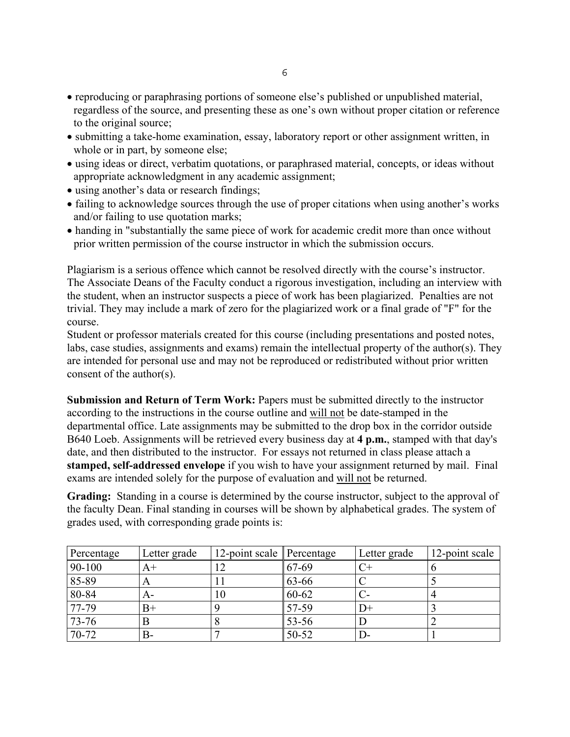- reproducing or paraphrasing portions of someone else's published or unpublished material, regardless of the source, and presenting these as one's own without proper citation or reference to the original source;
- submitting a take-home examination, essay, laboratory report or other assignment written, in whole or in part, by someone else;
- using ideas or direct, verbatim quotations, or paraphrased material, concepts, or ideas without appropriate acknowledgment in any academic assignment;
- using another's data or research findings;
- failing to acknowledge sources through the use of proper citations when using another's works and/or failing to use quotation marks;
- handing in "substantially the same piece of work for academic credit more than once without prior written permission of the course instructor in which the submission occurs.

Plagiarism is a serious offence which cannot be resolved directly with the course's instructor. The Associate Deans of the Faculty conduct a rigorous investigation, including an interview with the student, when an instructor suspects a piece of work has been plagiarized. Penalties are not trivial. They may include a mark of zero for the plagiarized work or a final grade of "F" for the course.

Student or professor materials created for this course (including presentations and posted notes, labs, case studies, assignments and exams) remain the intellectual property of the author(s). They are intended for personal use and may not be reproduced or redistributed without prior written consent of the author(s).

**Submission and Return of Term Work:** Papers must be submitted directly to the instructor according to the instructions in the course outline and will not be date-stamped in the departmental office. Late assignments may be submitted to the drop box in the corridor outside B640 Loeb. Assignments will be retrieved every business day at **4 p.m.**, stamped with that day's date, and then distributed to the instructor. For essays not returned in class please attach a **stamped, self-addressed envelope** if you wish to have your assignment returned by mail. Final exams are intended solely for the purpose of evaluation and will not be returned.

**Grading:** Standing in a course is determined by the course instructor, subject to the approval of the faculty Dean. Final standing in courses will be shown by alphabetical grades. The system of grades used, with corresponding grade points is:

| Percentage | Letter grade | 12-point scale Percentage |           | Letter grade | 12-point scale |
|------------|--------------|---------------------------|-----------|--------------|----------------|
| 90-100     | $A+$         |                           | 67-69     |              |                |
| 85-89      | A            |                           | 63-66     |              |                |
| 80-84      | $A-$         | 10                        | 60-62     |              |                |
| 77-79      | $B+$         |                           | 57-59     | D+           |                |
| 73-76      |              |                           | 53-56     |              |                |
| 70-72      | В-           |                           | $50 - 52$ |              |                |